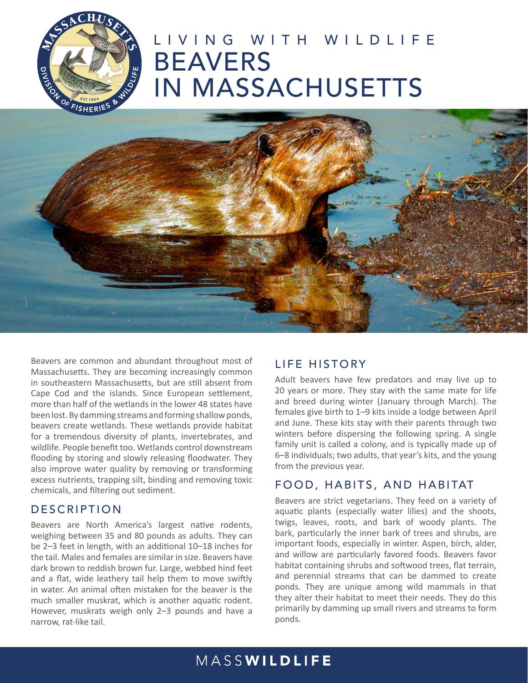

# LIVING WITH WILDLIFE BEAVERS IN MASSACHUSETTS



Beavers are common and abundant throughout most of Massachusetts. They are becoming increasingly common in southeastern Massachusetts, but are still absent from Cape Cod and the islands. Since European settlement, more than half of the wetlands in the lower 48 states have been lost. By damming streams and forming shallow ponds, beavers create wetlands. These wetlands provide habitat for a tremendous diversity of plants, invertebrates, and wildlife. People benefit too. Wetlands control downstream flooding by storing and slowly releasing floodwater. They also improve water quality by removing or transforming excess nutrients, trapping silt, binding and removing toxic chemicals, and filtering out sediment.

#### DESCRIPTION

Beavers are North America's largest native rodents, weighing between 35 and 80 pounds as adults. They can be 2–3 feet in length, with an additional 10–18 inches for the tail. Males and females are similar in size. Beavers have dark brown to reddish brown fur. Large, webbed hind feet and a flat, wide leathery tail help them to move swiftly in water. An animal often mistaken for the beaver is the much smaller muskrat, which is another aquatic rodent. However, muskrats weigh only 2–3 pounds and have a narrow, rat-like tail.

### LIFE HISTORY

Adult beavers have few predators and may live up to 20 years or more. They stay with the same mate for life and breed during winter (January through March). The females give birth to 1–9 kits inside a lodge between April and June. These kits stay with their parents through two winters before dispersing the following spring. A single family unit is called a colony, and is typically made up of 6–8 individuals; two adults, that year's kits, and the young from the previous year.

### FOOD, HABITS, AND HABITAT

Beavers are strict vegetarians. They feed on a variety of aquatic plants (especially water lilies) and the shoots, twigs, leaves, roots, and bark of woody plants. The bark, particularly the inner bark of trees and shrubs, are important foods, especially in winter. Aspen, birch, alder, and willow are particularly favored foods. Beavers favor habitat containing shrubs and softwood trees, flat terrain, and perennial streams that can be dammed to create ponds. They are unique among wild mammals in that they alter their habitat to meet their needs. They do this primarily by damming up small rivers and streams to form ponds.

### MASSWILDLIFE